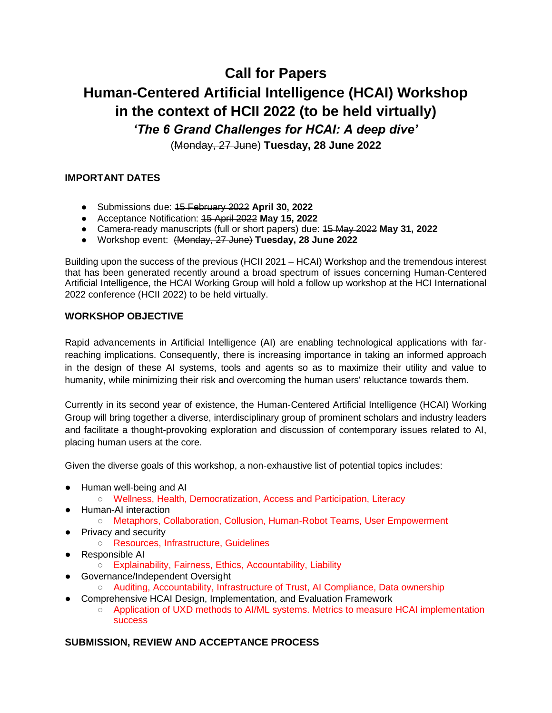# **Call for Papers Human-Centered Artificial Intelligence (HCAI) Workshop in the context of HCII 2022 (to be held virtually)** *'The 6 Grand Challenges for HCAI: A deep dive'*

(Monday, 27 June) **Tuesday, 28 June 2022**

# **IMPORTANT DATES**

- Submissions due: 15 February 2022 **April 30, 2022**
- Acceptance Notification: 15 April 2022 **May 15, 2022**
- Camera-ready manuscripts (full or short papers) due: 15 May 2022 **May 31, 2022**
- Workshop event: (Monday, 27 June) **Tuesday, 28 June 2022**

Building upon the success of the previous (HCII 2021 – HCAI) Workshop and the tremendous interest that has been generated recently around a broad spectrum of issues concerning Human-Centered Artificial Intelligence, the HCAI Working Group will hold a follow up workshop at the HCI International 2022 conference (HCII 2022) to be held virtually.

#### **WORKSHOP OBJECTIVE**

Rapid advancements in Artificial Intelligence (AI) are enabling technological applications with farreaching implications. Consequently, there is increasing importance in taking an informed approach in the design of these AI systems, tools and agents so as to maximize their utility and value to humanity, while minimizing their risk and overcoming the human users' reluctance towards them.

Currently in its second year of existence, the Human-Centered Artificial Intelligence (HCAI) Working Group will bring together a diverse, interdisciplinary group of prominent scholars and industry leaders and facilitate a thought-provoking exploration and discussion of contemporary issues related to AI, placing human users at the core.

Given the diverse goals of this workshop, a non-exhaustive list of potential topics includes:

- Human well-being and AI
	- Wellness, Health, Democratization, Access and Participation, Literacy
- Human-AI interaction
	- Metaphors, Collaboration, Collusion, Human-Robot Teams, User Empowerment
- Privacy and security
	- Resources, Infrastructure, Guidelines
- Responsible AI
	- Explainability, Fairness, Ethics, Accountability, Liability
- Governance/Independent Oversight
	- Auditing, Accountability, Infrastructure of Trust, AI Compliance, Data ownership
- Comprehensive HCAI Design, Implementation, and Evaluation Framework
	- Application of UXD methods to AI/ML systems. Metrics to measure HCAI implementation success

## **SUBMISSION, REVIEW AND ACCEPTANCE PROCESS**